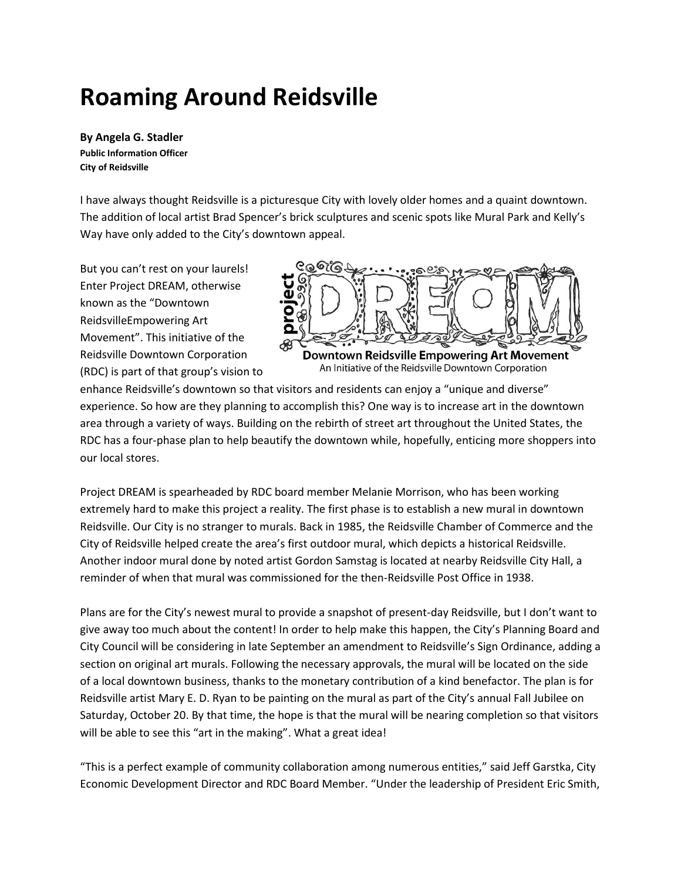# **Roaming Around Reidsville**

**By Angela G. Stadler Public Information Officer City of Reidsville**

I have always thought Reidsville is a picturesque City with lovely older homes and a quaint downtown. The addition of local artist Brad Spencer's brick sculptures and scenic spots like Mural Park and Kelly's Way have only added to the City's downtown appeal.

But you can't rest on your laurels! Enter Project DREAM, otherwise known as the "Downtown ReidsvilleEmpowering Art Movement". This initiative of the Reidsville Downtown Corporation (RDC) is part of that group's vision to



An Initiative of the Reidsville Downtown Corporation

enhance Reidsville's downtown so that visitors and residents can enjoy a "unique and diverse" experience. So how are they planning to accomplish this? One way is to increase art in the downtown area through a variety of ways. Building on the rebirth of street art throughout the United States, the RDC has a four-phase plan to help beautify the downtown while, hopefully, enticing more shoppers into our local stores.

Project DREAM is spearheaded by RDC board member Melanie Morrison, who has been working extremely hard to make this project a reality. The first phase is to establish a new mural in downtown Reidsville. Our City is no stranger to murals. Back in 1985, the Reidsville Chamber of Commerce and the City of Reidsville helped create the area's first outdoor mural, which depicts a historical Reidsville. Another indoor mural done by noted artist Gordon Samstag is located at nearby Reidsville City Hall, a reminder of when that mural was commissioned for the then-Reidsville Post Office in 1938.

Plans are for the City's newest mural to provide a snapshot of present-day Reidsville, but I don't want to give away too much about the content! In order to help make this happen, the City's Planning Board and City Council will be considering in late September an amendment to Reidsville's Sign Ordinance, adding a section on original art murals. Following the necessary approvals, the mural will be located on the side of a local downtown business, thanks to the monetary contribution of a kind benefactor. The plan is for Reidsville artist Mary E. D. Ryan to be painting on the mural as part of the City's annual Fall Jubilee on Saturday, October 20. By that time, the hope is that the mural will be nearing completion so that visitors will be able to see this "art in the making". What a great idea!

"This is a perfect example of community collaboration among numerous entities," said Jeff Garstka, City Economic Development Director and RDC Board Member. "Under the leadership of President Eric Smith,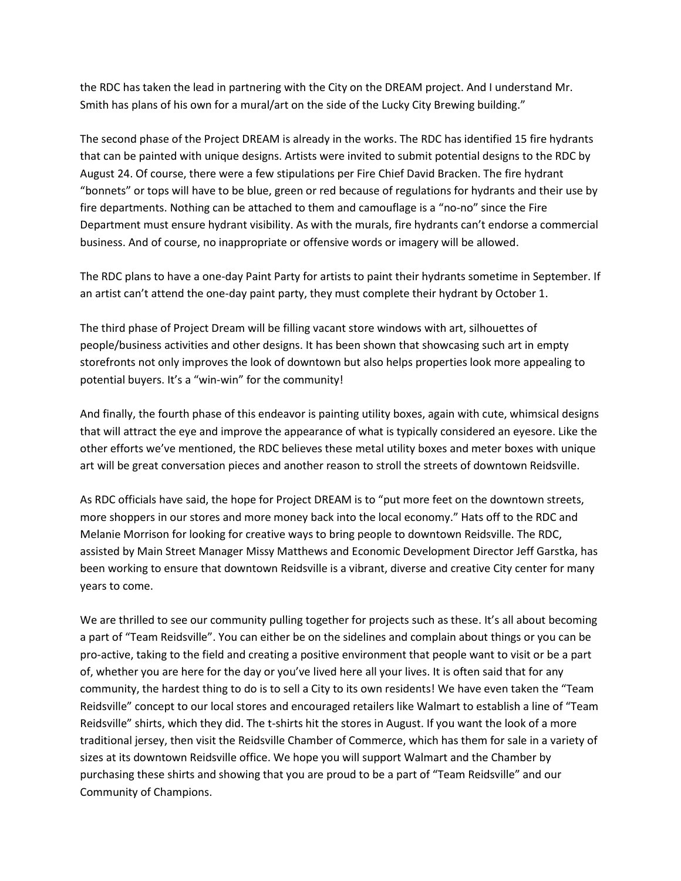the RDC has taken the lead in partnering with the City on the DREAM project. And I understand Mr. Smith has plans of his own for a mural/art on the side of the Lucky City Brewing building."

The second phase of the Project DREAM is already in the works. The RDC has identified 15 fire hydrants that can be painted with unique designs. Artists were invited to submit potential designs to the RDC by August 24. Of course, there were a few stipulations per Fire Chief David Bracken. The fire hydrant "bonnets" or tops will have to be blue, green or red because of regulations for hydrants and their use by fire departments. Nothing can be attached to them and camouflage is a "no-no" since the Fire Department must ensure hydrant visibility. As with the murals, fire hydrants can't endorse a commercial business. And of course, no inappropriate or offensive words or imagery will be allowed.

The RDC plans to have a one-day Paint Party for artists to paint their hydrants sometime in September. If an artist can't attend the one-day paint party, they must complete their hydrant by October 1.

The third phase of Project Dream will be filling vacant store windows with art, silhouettes of people/business activities and other designs. It has been shown that showcasing such art in empty storefronts not only improves the look of downtown but also helps properties look more appealing to potential buyers. It's a "win-win" for the community!

And finally, the fourth phase of this endeavor is painting utility boxes, again with cute, whimsical designs that will attract the eye and improve the appearance of what is typically considered an eyesore. Like the other efforts we've mentioned, the RDC believes these metal utility boxes and meter boxes with unique art will be great conversation pieces and another reason to stroll the streets of downtown Reidsville.

As RDC officials have said, the hope for Project DREAM is to "put more feet on the downtown streets, more shoppers in our stores and more money back into the local economy." Hats off to the RDC and Melanie Morrison for looking for creative ways to bring people to downtown Reidsville. The RDC, assisted by Main Street Manager Missy Matthews and Economic Development Director Jeff Garstka, has been working to ensure that downtown Reidsville is a vibrant, diverse and creative City center for many years to come.

We are thrilled to see our community pulling together for projects such as these. It's all about becoming a part of "Team Reidsville". You can either be on the sidelines and complain about things or you can be pro-active, taking to the field and creating a positive environment that people want to visit or be a part of, whether you are here for the day or you've lived here all your lives. It is often said that for any community, the hardest thing to do is to sell a City to its own residents! We have even taken the "Team Reidsville" concept to our local stores and encouraged retailers like Walmart to establish a line of "Team Reidsville" shirts, which they did. The t-shirts hit the stores in August. If you want the look of a more traditional jersey, then visit the Reidsville Chamber of Commerce, which has them for sale in a variety of sizes at its downtown Reidsville office. We hope you will support Walmart and the Chamber by purchasing these shirts and showing that you are proud to be a part of "Team Reidsville" and our Community of Champions.